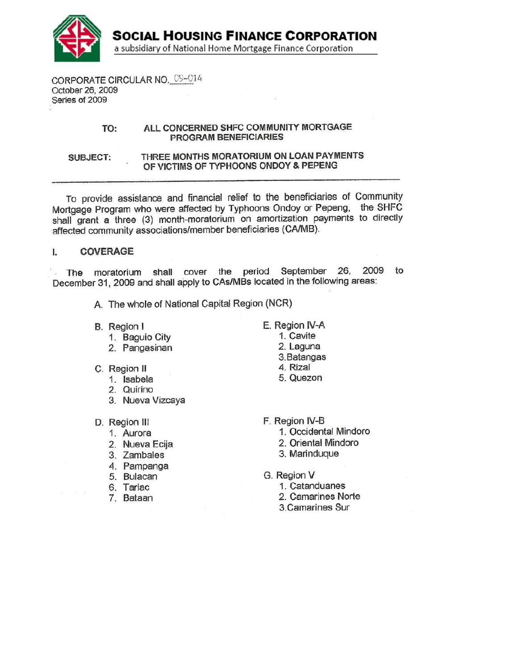

**SOCIAL HOUSING FINANCE CORPORATION** a subsidiary of National Home Mortgage Finance Corporation

CORPORATE CIRCULAR NO. 09-014 October 26, 2009 Series of 2009

### ALL CONCERNED SHFC COMMUNITY MORTGAGE TO: PROGRAM BENEFICIARIES

THREE MONTHS MORATORIUM ON LOAN PAYMENTS **SUBJECT:** OF VICTIMS OF TYPHOONS ONDOY & PEPENG

To provide assistance and financial relief to the beneficiaries of Community Mortgage Program who were affected by Typhoons Ondoy or Pepeng, the SHFC shall grant a three (3) month-moratorium on amortization payments to directly affected community associations/member beneficiaries (CA/MB).

### **COVERAGE**  $\mathbf{l}$ .

moratorium shall cover the period September 26, 2009 to The December 31, 2009 and shall apply to CAs/MBs located in the following areas:

- A. The whole of National Capital Region (NCR)
- B. Region I
	- 1. Baguio City
	- 2. Pangasinan
- C. Region II
	- 1. Isabela
	- 2. Quirino
	- 3. Nueva Vizcaya
- D. Region III
	- 1. Aurora
	- 2. Nueva Ecija
	- 3. Zambales
	- 4. Pampanga
	- 5. Bulacan
	- 6. Tarlac
	- 7. Bataan
- E. Region IV-A
	- 1. Cavite
	- 2. Laguna
	- 3. Batangas
	- 4. Rizal
	- 5. Quezon
- F. Region IV-B
	- 1. Occidental Mindoro
	- 2. Oriental Mindoro
	- 3. Marinduque
- G. Region V
	- 1. Catanduanes
	- 2. Camarines Norte
	- 3. Camarines Sur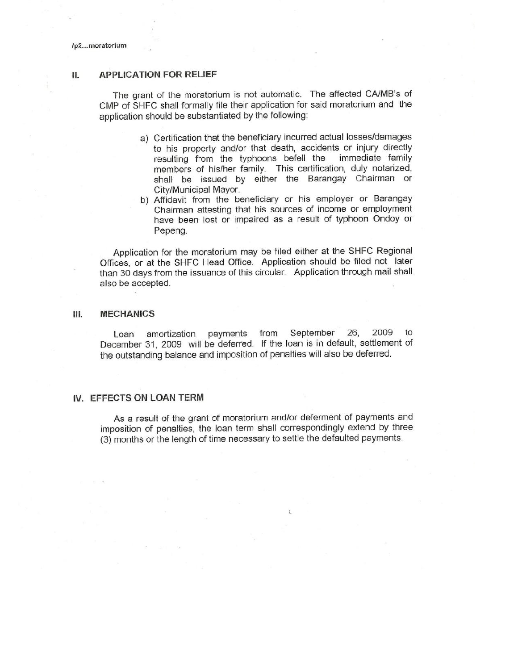/p2...moratorium

#### **APPLICATION FOR RELIEF**  $II.$

The grant of the moratorium is not automatic. The affected CA/MB's of CMP of SHFC shall formally file their application for said moratorium and the application should be substantiated by the following:

- a) Certification that the beneficiary incurred actual losses/damages to his property and/or that death, accidents or injury directly resulting from the typhoons befell the immediate family members of his/her family. This certification, duly notarized, shall be issued by either the Barangay Chairman or City/Municipal Mayor.
- b) Affidavit from the beneficiary or his employer or Barangay Chairman attesting that his sources of income or employment have been lost or impaired as a result of typhoon Ondoy or Pepena.

Application for the moratorium may be filed either at the SHFC Regional Offices, or at the SHFC Head Office. Application should be filed not later than 30 days from the issuance of this circular. Application through mail shall also be accepted.

#### Ш. **MECHANICS**

Loan amortization payments from September 26. 2009 to December 31, 2009 will be deferred. If the loan is in default, settlement of the outstanding balance and imposition of penalties will also be deferred.

### IV. EFFECTS ON LOAN TERM

As a result of the grant of moratorium and/or deferment of payments and imposition of penalties, the loan term shall correspondingly extend by three (3) months or the length of time necessary to settle the defaulted payments.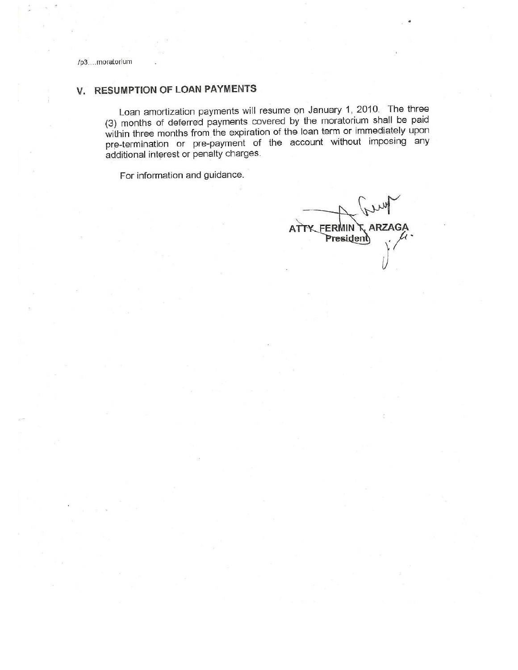# V. RESUMPTION OF LOAN PAYMENTS

Loan amortization payments will resume on January 1, 2010. The three (3) months of deferred payments covered by the moratorium shall be paid within three months from the expiration of the loan term or immediately upon pre-termination or pre-payment of the account without imposing any additional interest or penalty charges.

For information and guidance.

ATTY FERMIN T ARZAGA President